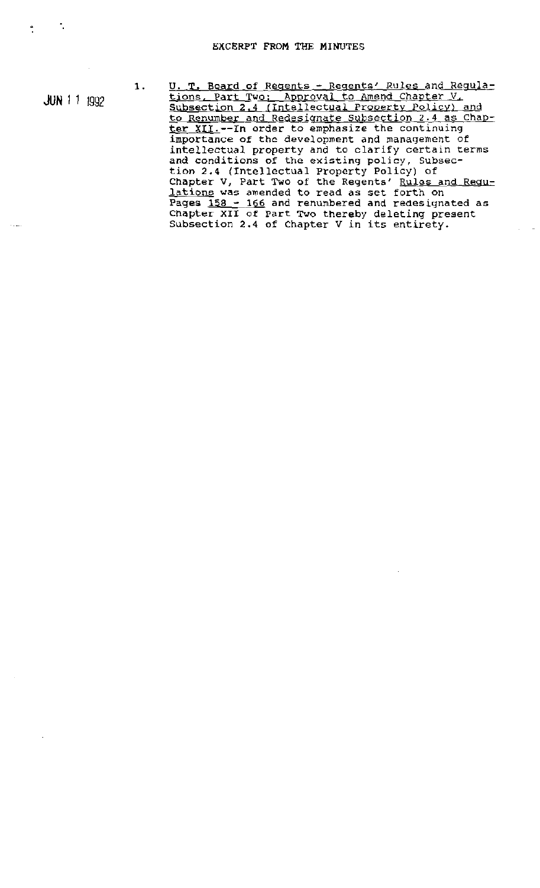JUN 11 <sup>1992</sup>

1.

U. T. Board of Regents - Regents' Rules and Regulations. Part Two; Approval to Amend Chapter V, Subsection 2.4 (Intellectual Property Policy) and to Renumber and Redesignate Subsection 2.4 as Chapter XII.--In order to emphasize the continuing importance of the development and management of intellectual property and to clarify certain terms and conditions of the existing policy, Subsection 2.4 {Intellectual property Policy) of Chapter V, Part Two of the Regents' Rules and Regu**lations** was amended to read as set forth on Pages 158 - 166 and renumbered and redesignated as Chapter XII of Part Two thereby deleting present Subsection 2.4 of Chapter <sup>V</sup> in its entirety.

 $\mathcal{L}^{\text{max}}$ 

 $\ddot{\bullet}$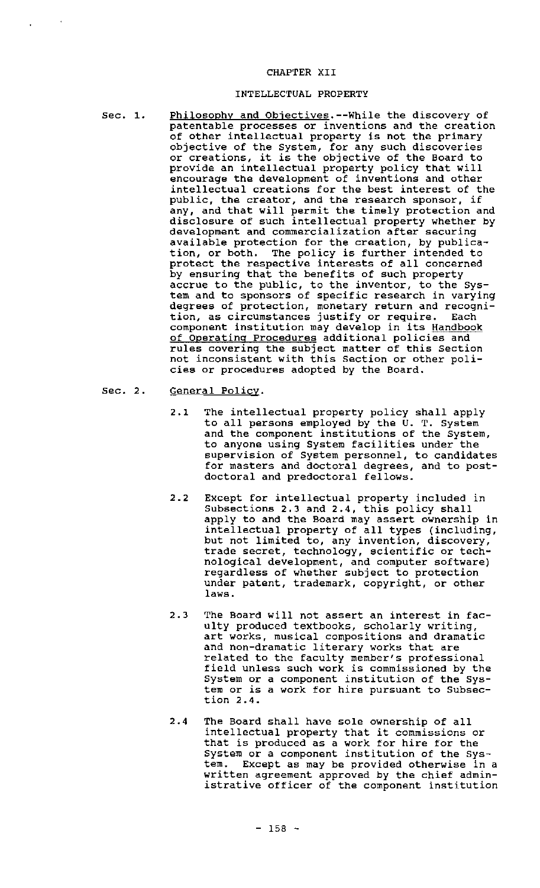## CHAPTER XII

### INTELLECTUAL PROPERTY

- Sec. 1.
- Philosophy and Objectives.--While the discovery of patentable processes or inventions and the creation of other intellectual property is not the primary objective of the System, for any such discoveries or creations, it is the objective of the Board to provide an intellectual property policy that will encourage the development of inventions and other intellectual creations for the best interest of the pUblic, the creator, and the research sponsor, if any, and that will permit the timely protection and disclosure of such intellectual property whether by development and commercialization after securing available protection for the creation, by publication, or both. The policy is further intended to protect the respective interests of all concerned by ensuring that the benefits of such property accrue to the public, to the inventor, to the System and to sponsors of specific research in varying degrees of protection, monetary return and recognition, as circumstances justify or require. Each component institution may develop in its Handbook of operating Procedures additional policies and rules covering the subject matter of this Section not inconsistent with this section or other policies or procedures adopted by the Board.
- Sec. 2. General Policy.
	- 2.1 The intellectual property policy shall apply to all persons employed by the U. T. System and the component institutions of the System, to anyone using System facilities under the supervision of System personnel, to candidates for masters and doctoral degrees, and to postdoctoral and predoctoral fellows.
	- 2.2 Except for intellectual property included in Subsections 2.3 and 2.4, this policy shall apply to and the Board may assert ownership in intellectual property of all types (including, but not limited to, any invention, discovery, ede not finited to, dhy invention, dibostery, nological development, and computer software) regardless of whether subject to protection under patent, trademark, copyright, or other laws.
	- 2.3 The Board will not assert an interest in faculty produced textbooks, scholarly writing, art works, musical compositions and dramatic and non-dramatic literary works that are related to the faculty member's professional field unless such work is commissioned by the System or a component institution of the System or is <sup>a</sup> work for hire pursuant to Subsection 2.4.
	- 2.4 The Board shall have sole ownership of all intellectual property that it commissions or that is produced as <sup>a</sup> work for hire for the System or <sup>a</sup> component institution of the system. Except as may be provided otherwise in a written agreement approved by the chief administrative officer of the component institution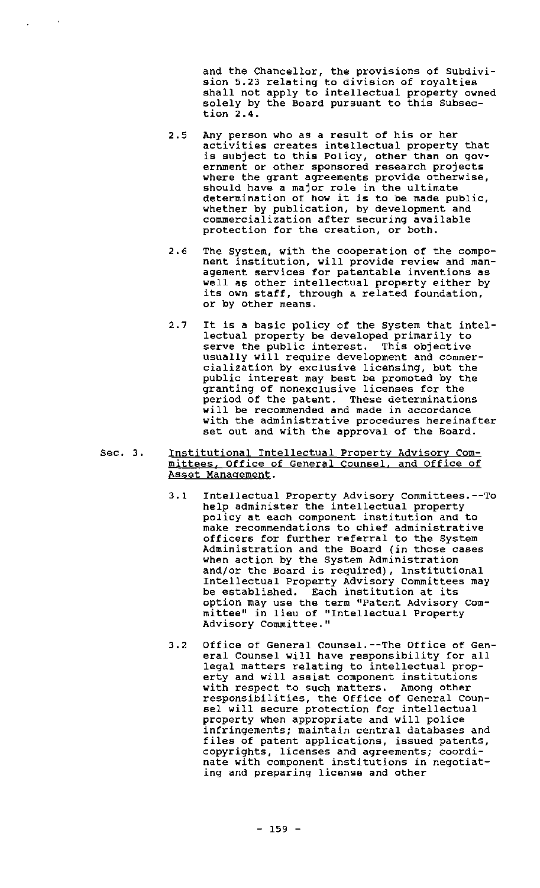and the Chancellor, the provisions of SUbdivision 5.23 relating to division of royalties shall not apply to intellectual property owned solely by the Board pursuant to this Subsection 2.4.

- 2.5 Any person who as <sup>a</sup> result of his or her activities creates intellectual property that is subject to this Policy, other than on government or other sponsored research projects where the grant agreements provide otherwise, should have a major role in the ultimate determination of how it is to be made public, whether by publication, by development and commercialization after securing available protection for the creation, or both.
- 2.6 The System, with the cooperation of the component institution, will provide review and management services for patentable inventions as well as other intellectual property either by its own staff, through <sup>a</sup> related foundation, or by other means.
- 2.7 It is <sup>a</sup> basic policy of the System that intellectual property be developed primarily to serve the public interest. This objective usually will require development and commercialization by exclusive licensing, but the public interest may best be promoted by the granting of nonexclusive licenses for the period of the patent. These determinations will be recommended and made in accordance with the administrative procedures hereinafter set out and with the approval of the Board.
- Sec. 3. Institutional Intellectual Property Advisory Committees, Office of General Counsel, and Office of Asset Management.
	- 3.1 Intellectual Property Advisory Committees.--To help administer the intellectual property policy at each component institution and to make recommendations to chief administrative officers for further referral to the System Administration and the Board (in those cases when action by the System Administration and/or the Board is required), Institutional Intellectual Property Advisory Committees may be established. Each institution at its option may use the term "Patent Advisory Committee" in lieu of "Intellectual Property Advisory Committee."
	- 3.2 Office of General Counsel.--The Office of General Counsel will have responsibility for all legal matters relating to intellectual property and will assist component institutions with respect to such matters. Among other responsibilities, the Office of General Counsel will secure protection for intellectual property when appropriate and will police infringements; maintain central databases and files of patent applications, issued patents, copyrights, licenses and agreements; coordinate with component institutions in negotiating and preparing license and other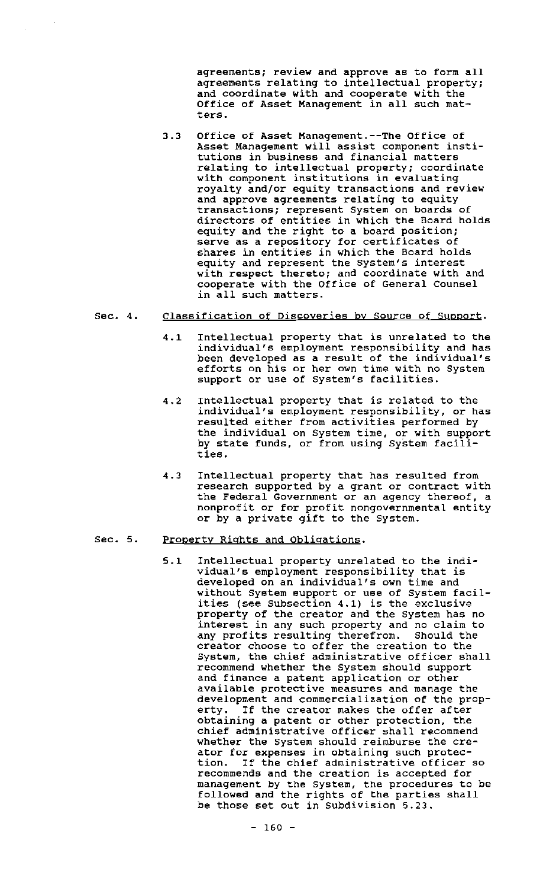agreements; review and approve as to form all agreements relating to intellectual property; and coordinate with and cooperate with the Office of Asset Management in all such matters.

3.3 Office of Asset Management.--The Office of Asset Management will assist component institutions in business and financial matters relating to intellectual property; coordinate with component institutions in evaluating royalty and/or equity transactions and review and approve agreements relating to equity transactions; represent System on boards of directors of entities in which the Board holds equity and the right to <sup>a</sup> board position; serve as <sup>a</sup> repository for certificates of shares in entities in which the Board holds equity and represent the system's interest with respect thereto; and coordinate with and cooperate with the Office of General Counsel in all such matters.

#### Sec. 4. Classification of Discoveries by Source of support.

- 4.1 Intellectual property that is unrelated to the individual's employment responsibility and has been developed as <sup>a</sup> result of the individual's efforts on his or her own time with no System support or use of System's facilities.
- 4.2 Intellectual property that is related to the individual's employment responsibility, or has resulted either from activities performed by the individual on System time, or with support by state funds, or from using System facilities.
- 4.3 Intellectual property that has resulted from research supported by a grant or contract with the Federal Government or an agency thereof, a nonprofit or for profit nongovernmental entity or by <sup>a</sup> private gift to the System.

#### Sec. 5. Property Rights and Obligations.

5.1 Intellectual property unrelated to the individual's employment responsibility that is developed on an individual's own time and without System support or use of System facilities (see Subsection 4.1) is the exclusive property of the creator and the System has no interest in any such property and no claim to any profits resulting therefrom. Should the creator choose to offer the creation to the System, the chief administrative officer shall recommend whether the System should support and finance a patent application or other available protective measures and manage the development and commercialization of the property. If the creator makes the offer after obtaining a patent or other protection. the chief administrative officer shall recommend whether the System should reimburse the creator for expenses *in* obtaining such protec-If the chief administrative officer so recommends and the creation is accepted for management by the System, the procedures to be management by the bybeem, the procedures to be those set out in Subdivision 5.23.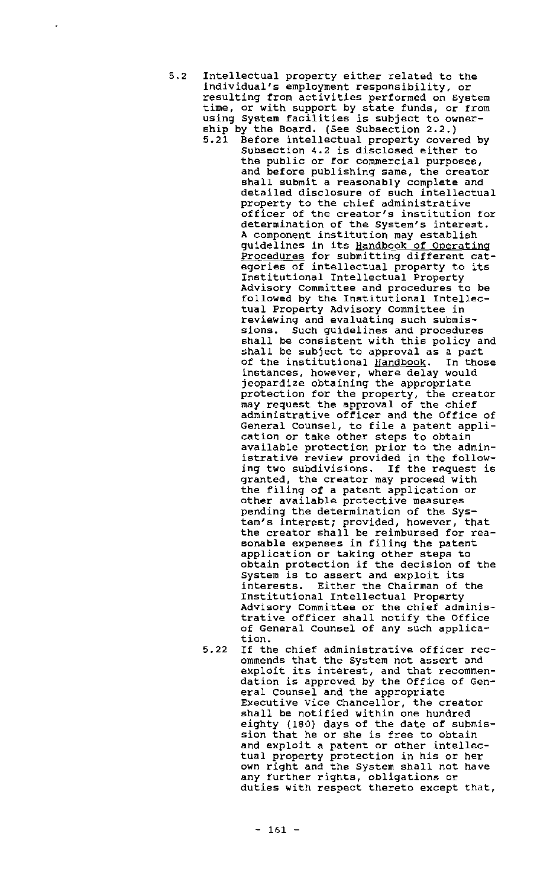- 5.2 Intellectual property either related to the individual's employment responsibility, or resulting from activities performed on System time, or with support by state funds, or from eine, of with support by scate runds, of fits<br>using System facilities is subject to ownership by the Board. (See Subsection 2.2.) 5.21 Before intellectual property covered by Subsection 4.2 is disclosed either to the pUblic or for commercial purposes, and before pUblishing same, the creator shall sUbmit a reasonably complete and detailed disclosure of such intellectual property to the chief administrative officer of the creator's institution for determination of the System's interest. <sup>A</sup> component institution may establish guidelines in its Handbook of Operating Procedures for submitting different cat-**<u>IIQCENTES</u>** for Submitting ufficient cat Institutional Intellectual Property Advisory committee and procedures to be followed by the Institutional Intellectual Property Advisory committee in reviewing and evaluating such sUbmissions. Such guidelines and procedures shall be consistent with this policy and shall be subject to approval as <sup>a</sup> part phase as Basjee to approver as I part instances, however, where delay would jeopardize obtaining the appropriate protection for the property, the creator processed for the property, the credit administrative officer and the Office of General Counsel, to file <sup>a</sup> patent application or take other steps to obtain available protection prior to the administrative review provided in the following two subdivisions. If the request is granted, the creator may proceed with the filing of <sup>a</sup> patent application or other available protective measures pending the determination of the System's interest; provided, however, that the creator shall be reimbursed for reasonable expenses in filing the patent application or taking other steps to obtain protection if the decision of the System is to assert and exploit its interests. Either the Chairman of the Institutional Intellectual Property Advisory committee or the chief administrative officer shall notify the Office of General counsel of any such application.
	- 5.22 If the chief administrative officer recommends that the System not assert and exploit its interest, and that recommendation is approved by the Office of General Counsel and the appropriate Executive vice chancellor, the creator shall be notified within one hundred eighty (180) days of the date of submission that he or she is free to obtain and exploit <sup>a</sup> patent or other intellectual property protection in his or her can't property procession in his or nor any further rights, obligations or duties with respect thereto except that,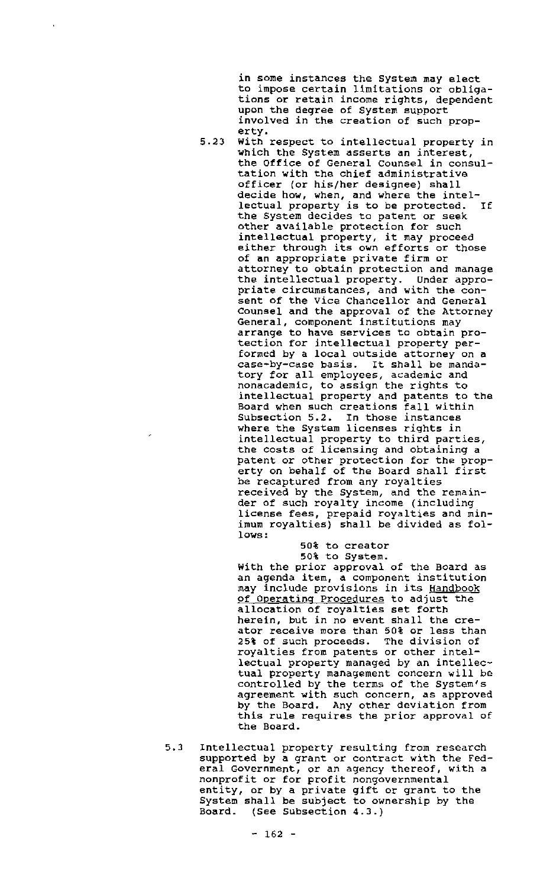in some instances the System may elect to impose certain limitations or obligations or retain income rights, dependent upon the degree of System support involved in the creation of such property.

5.23 With respect to intellectual property in which the System asserts an interest, the Office of General Counsel in consultation with the chief administrative officer (or his/her designee) shall decide how, when, and where the intellectual property is to be protected. If the System decides to patent or seek other available protection for such intellectual property, it may proceed either through its own efforts or those of an appropriate private firm or attorney to obtain protection and manage the intellectual property. Under appropriate circumstances, and with the consent of the vice Chancellor and General Counsel and the approval of the Attorney General, component institutions may arrange to have services to obtain protection for intellectual property performed by a local outside attorney on a case-by-case basis. It shall be mandatory for all employees, academic and nonacademic, to assign the rights to intellectual property and patents to the Board when such creations fall within SUbsection 5.2. In those instances where the System licenses rights in intellectual property to third parties, the costs of licensing and Obtaining a patent or other protection for the property on behalf of the Board shall first be recaptured from any royalties received by the System, and the remainder of such royalty income (inclUding license fees, prepaid royalties and minimum royalties) shall be divided as follows:

# 50% to creator 50t to System.

with the prior approval of the Board as an agenda item, <sup>a</sup> component institution may include provisions in its Handbook of Operating Procedures to adjust the allocation of royalties set forth herein, but in no event shall the creator receive more than 50% or less than 25% of such proceeds. The division of royalties from patents or other intellectual property managed by an intellectual property management concern will be controlled by the terms of the System's agreement with such concern, as approved by the Board. Any other deviation from this rule requires the prior approval of the Board.

5.3 Intellectual property resulting from research supported by a grant or contract with the Federal Government, or an agency thereof, with <sup>a</sup> nonprofit or for profit nongovernmental entity, or by <sup>a</sup> private gift or grant to the System shall be subject to ownership by the Board. (See Subsection 4.3.)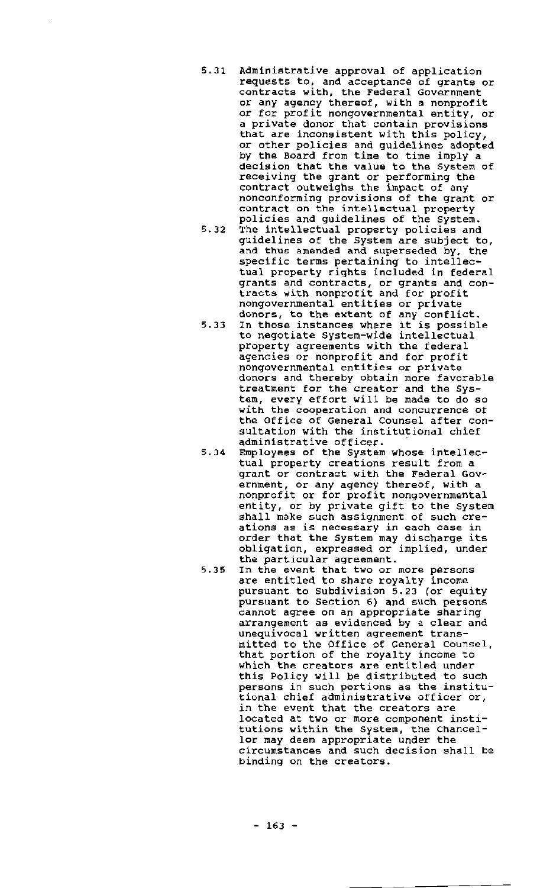- 5.31 Administrative approval of application requests to, and acceptance of grants or contracts with, the Federal Government or any agency thereof, with a nonprofit or for profit nongovernmental entity, or <sup>a</sup> private donor that contain provisions that are inconsistent with this policy, or other policies and guidelines adopted by the Board from time to time imply a decision that the value to the System of receiving the grant or performing the contract outweighs the impact of any nonconforming provisions of the grant or contract on the intellectual property policies and guidelines of the system.
- 5.32 The intellectual property policies and guidelines of the System are sUbject to, and thus amended and superseded by, the specific terms pertaining to intellectual property rights included in federal grants and contracts, or grants and congrants and contracts, or grants and nongovernmental entities or private donors, to the extent of any conflict.
- donors, to the extent of any conflict.<br>5.33 In those instances where it is possible to negotiate System-wide intellectual property agreements with the federal agencies or nonprofit and for profit nongovernmental entities or private donors and thereby obtain more favorable treatment for the creator and the system, every effort will be made to do so with the cooperation and concurrence ot the Office of General Counsel after consultation with the institutional chief administrative officer.
- 5.34 Employees of the system whose intellectual property creations result from <sup>a</sup> grant or contract with the Federal Government, or any agency thereof, with a nonprofit or for profit nongovernmental entity, or by private gift to the system shall make such assignment of such creations as is necessary in each case in order that the System may discharge its obligation, expressed or implied, under the particular agreement.
- 5.35 In the event that two or more persons are entitled to share royalty income pursuant to Subdivision 5.23 (or equity pursuant to Section 6) and such persons cannot agree on an appropriate sharing arrangement as evidenced by <sup>a</sup> clear and unequivocal written agreement transmitted to the Office of General Counsel, that portion of the royalty income to Which the creators are entitled under this Policy will be distributed to such persons in such portions as the institutional chief administrative officer or, *in* the event that the creators are located at two or more component institutions within the System, the Chancellor may deem appropriate under the circumstances and such decision shall be binding on the creators.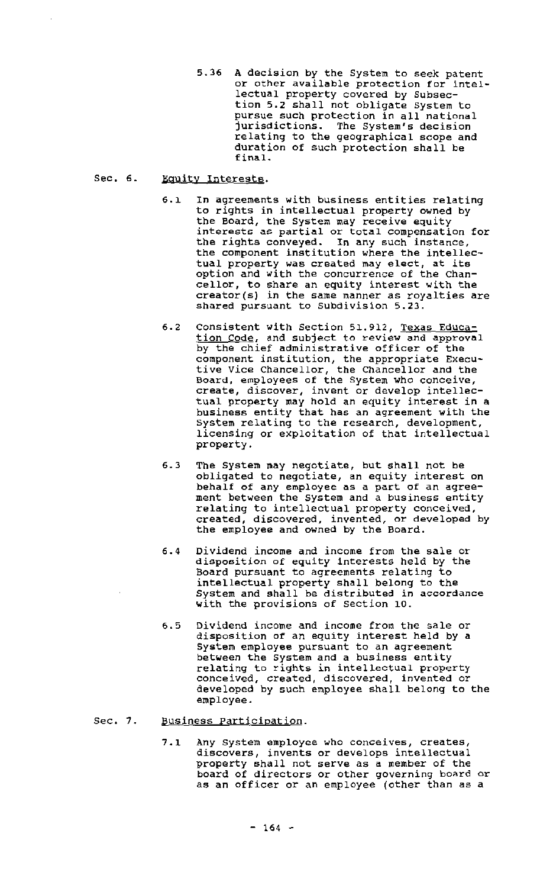5.36 <sup>A</sup> decision by the System to seek patent or other available protection for intellectual property covered by Subsection 5.2 shall not obligate system to pursue such protection in all national jurisdictions. The System's decision relating to the geographical scope and duration of such protection shall be final.

#### Sec. 6. Equity Interests.

- 6.1 In agreements with business entities relating to rights in intellectual property owned by the Board, the System may receive equity interests as partial or total compensation for the rights conveyed. In any such instance, the component institution where the intellectual property was created may elect, at its option and with the concurrence of the Chancellor, to share an equity interest with the creator(s) in the same manner as royalties are shared pursuant to subdivision 5.23.
- 6.2 Consistent with Section 51.912, Texas Education Code, and subject to review and approval by the chief administrative officer of the component institution, the appropriate Executive Vice Chancellor, the Chancellor and the Board, employees of the System who conceive, create, discover, invent or develop intellectual property may hold an equity interest in <sup>a</sup> business entity that has an agreement with the System relating to the research, development, licensing or exploitation of that intellectual property.
- 6.3 The system may negotiate, but shall not be obligated to negotiate, an equity interest on behalf of any employee as a part of an agreement between the system and <sup>a</sup> business entity relating to intellectual property conceived, created, discovered, invented, or developed by the employee and owned by the Board.
- 6.4 Dividend income and income from the sale or disposition of equity interests held by the Board pursuant to agreements relating to intellectual property shall belong to the System and shall be distributed in accordance with the provisions of section 10.
- 6.5 Dividend income and income from the sale or disposition of an equity interest held by <sup>a</sup> System employee pursuant to an agreement between the system and <sup>a</sup> business entity relating to rights in intellectual property conceived, created, discovered, invented or developed by such employee shall belong to the employee.

#### Sec. 7. Business Participation.

7.1 Any system employee who conceives, creates, discovers, invents or develops intellectual property shall not serve as <sup>a</sup> member of the propose; innit not before as a moment of the poor as an officer or an employee (other than as <sup>a</sup>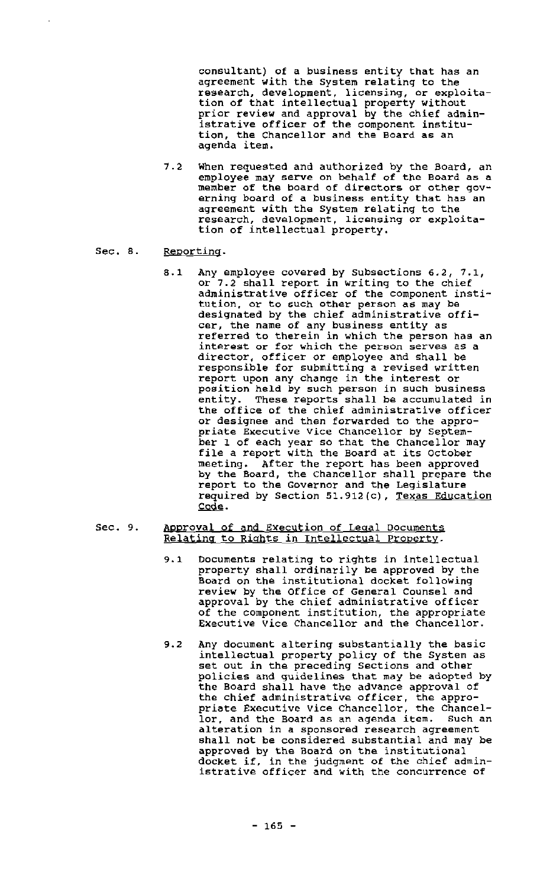consultant) of <sup>a</sup> business entity that has an agreement with the System relating to the research, development, licensing, or exploitation of that intellectual property without prior review and approval by the chief administrative officer of the component institution, the Chancellor and the Board as an agenda item.

- 7.2 When requested and authorized by the Board, an employee may serve on behalf of the Board as a member of the board of directors or other governing board of <sup>a</sup> business entity that has an agreement with the System relating to the research, development, licensing or exploitation of intellectual property.
- Sec. 8. Reporting.
	- 8.1 Any employee covered by Subsections 6.2, 7.1, or 7.2 shall report in writing to the chief administrative officer of the component institution, or to such other person a6 may be designated by the chief administrative *offi*cer, the name of any business entity as referred to therein in which the person has an interest or for which the person serves as <sup>a</sup> director, officer or employee and shall be responsible for submitting a revised written report upon any change in the interest or position held by such person in such business<br>entity. These reports shall be accumulated in These reports shall be accumulated in the office of the Chief administrative officer or designee and then forwarded to the appropriate Executive Vice Chancellor by September <sup>1</sup> of each year so that the Chancellor may file <sup>a</sup> report with the Board at its october meeting. After the report has been approved by the Board, the Chancellor shall prepare the report to the Governor and the Legislature required by Section 51.912(c), Texas Education Code.
- Sec. 9. Approval of and Execution of Legal Documents Relating to Rights in Intellectual property.
	- 9.1 Documents relating to rights in intellectual property shall ordinarily be approved by the Board on the institutional docket following review by the Office of General Counsel and approval by the chief administrative officer of the component institution, the appropriate Executive Vice Chancellor and the Chancellor.
	- 9.2 Any document altering substantially the basic intellectual property policy of the System as set out in the preceding Sections and other policies and guidelines that may be adopted by the Board shall have the advance approval of the chief administrative officer, the appropriate Executive Vice Chancellor, the Chancellor. and the Board as an agenda item. Such an alteration in a sponsored research agreement shall not be considered substantial and may be approved by the Board on the institutional docket if. in the judgment of the chief administrative officer and with the concurrence of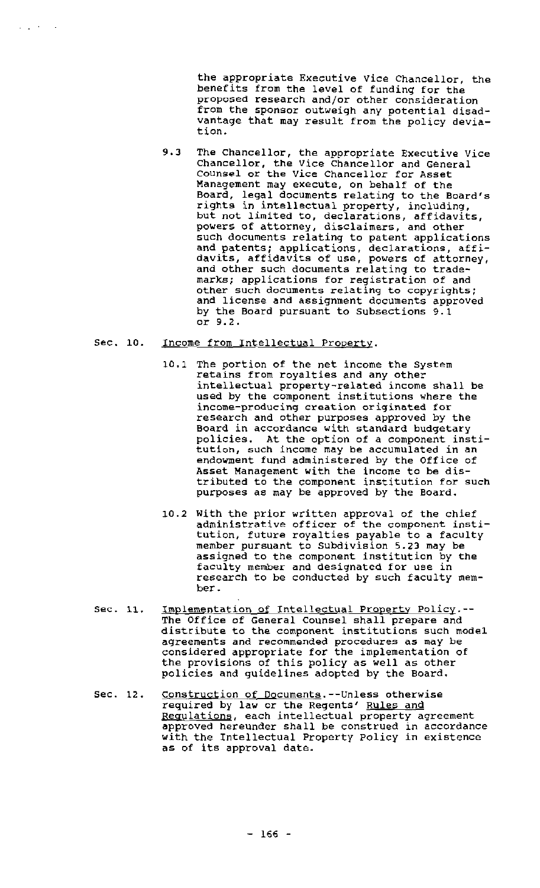the appropriate Executive Vice Chancellor, the benefits from the level of funding for the proposed research and/or other consideration from the sponsor outweigh any potential disadvantage that may result from the policy deviation.

9.3 The chancellor, the appropriate Executive Vice chancellor, the Vice chancellor and General Counsel or the Vice Chancellor for Asset Management may execute, on behalf of the Board, legal documents relating to the Board's rights in intellectual property, including, express in interfactual property, including, powers of attorney, disclaimers, and other such documents relating to patent applications and patents; applications, declarations, affidavits, affidavits of use, powers of attorney, and other such documents relating to trademarks; applications for registration of and other such documents relating to copyrights; and license and assignment documents approved by the Board pursuant to Subsections 9.1 or 9.2.

#### Sec. 10. Income from Intellectual Property.

 $\omega_{\rm{max}}$  , where  $\omega_{\rm{max}}$ 

- 10.1 The portion of the net income the System retains from royalties and any other intellectual property-related income shall be used by the component institutions where the income-producing creation originated for research and other purposes approved by the Board in accordance with standard budgetary policies. At the option of <sup>a</sup> component institution, such income may be accumulated in an endowment fund administered by the Office of Asset Management with the income to be distributed to the component institution for such purposes as may be approved by the Board.
- 10.2 With the prior written approval of the chief administrative officer of the component institution, future royalties payable to <sup>a</sup> faculty member pursuant to subdivision 5.23 may be assigned to the component institution by the faculty member and designated for use in research to be conducted by such faculty member.
- Sec. 11. Implementation of Intellectual property Policy.-- The Office of General counsel shall prepare and distribute to the component institutions such model agreements and recommended procedures as may be considered appropriate for the implementation of the provisions of this policy as well as other policies and guidelines adopted by the Board.
- Sec. 12. Construction of Documents.--Unless otherwise **required by law or the Regents' Rules and** Regulations, each intellectual property agreement approved hereunder shall be construed *in* accordance with the Intellectual Property policy in existence as of its approval date.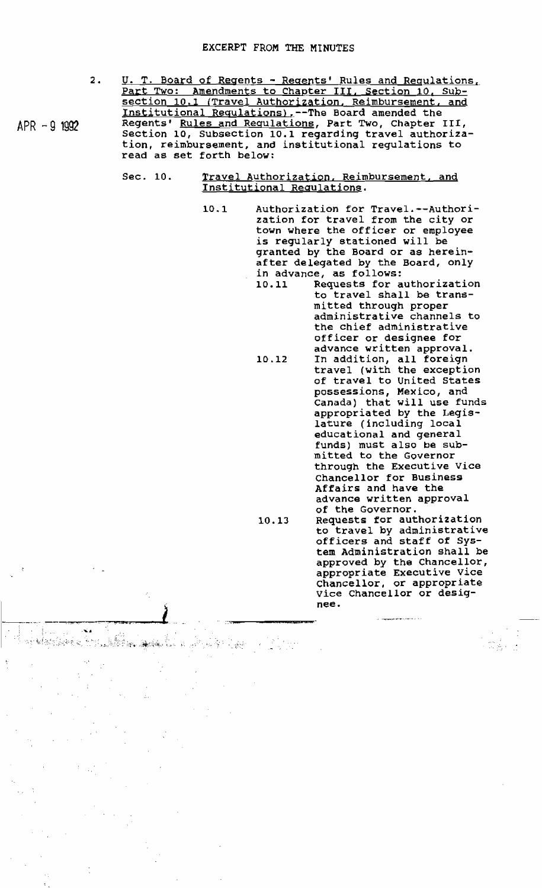- 2. U. T. Board of Regents - Regents' Rules and Requlations, Part Two: Amendments to Chapter III, Section 10, Subsection 10.1 (Travel Authorization, Reimbursement, and Institutional Requlations),--The Board amended the Regents' Rules and Requlations, Part Two, Chapter III, Section 10, Subsection 10.1 regarding travel authorization, reimbursement, and institutional regulations to read as set forth below:
	- Sec. 10. Travel Authorization, Reimbursement, and Institutional Regulations.

**Qiiwt=\***

•. .:-.-...jiWJI

 $\sim$ 

- Authorization for Travel.--Authorization for travel from the city or town where the officer or employee is regUlarly stationed will be granted by the Board or as hereinafter delegated by the Board, only in advance, as follows:<br>10.11 Requests for a 10.1
	- Requests for authorization to travel shall be transmitted through proper administrative channels to the chief administrative officer or designee for advance written approval. 10.12 In addition, all foreign
	- travel (with the exception of travel to united States possessions, Mexico, and Canada) that will use funds appropriated by the Legislature (including local educational and general funds) must also be submitted to the Governor through the Executive vice Chancellor for Business Affairs and have the advance written approval of the Governor. 10.13 Requests for authorization
		- to travel by administrative officers and staff of System Administration shall be approved by the Chancellor, appropriate Executive vice Chancellor, or appropriate vice Chancellor or designee .

 $\begin{array}{l} \displaystyle \sin \left( \frac{t}{\sqrt{2}} \right) = \frac{1}{\sqrt{2}}\\ \displaystyle \sin \left( \frac{t}{\sqrt{2}} \right) \leq \frac{1}{\sqrt{2}} \end{array}$ 

 $APR - 9$  1992

.' - .~ .....; ~: .. ~~\_\:-(.;\~ . "i"...;;.::..:··r: ;~, ".;.. ,..::

 $\mathcal{G}_{\mathcal{F}}$  .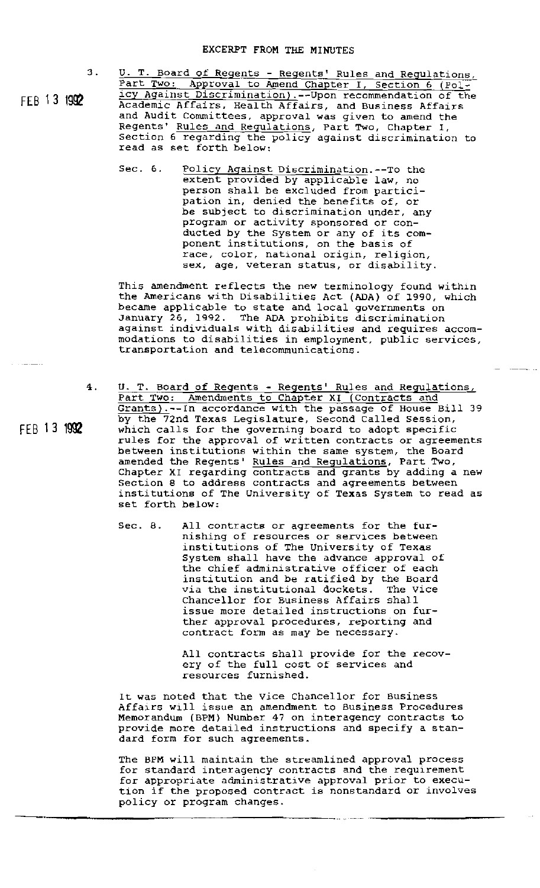3 .

FEB 13 <sup>1992</sup>

FEB 13 <sup>1992</sup>

 $\ldots$   $\ldots$   $\ldots$ 

U. T. Board of Regents - Regents' Rules and Regulations, Part Two: Approval to Amend Chapter I, Section 6 (Policy Against Discrimination).--Upon recommendation of the Academic Affairs, Health Affairs, and Business Affairs and Audit Committees, approval was given to amend the Regents' Rules and Regulations, Part Two, Chapter I, section 6 regarding the policy against discrimination to read as set forth below:

Sec. 6. Policy Against Discrimination.--To the extent provided by applicable law, no person shall be excluded from participation in, denied the benefits of, or be SUbject to discrimination under, any program or activity sponsored or conducted by the System or any of its component institutions, on the basis of race, color, national origin, religion, exes, evers, heseman congen, refrgren,

This amendment reflects the new terminology found within the Americans with Disabilities Act (ADA) of 1990, which became applicable to state and local governments on January 26, 1992. The ADA prohibits discrimination against individuals with disabilities and requires accommodations to disabilities in employment, public services, transportation and telecommunications.

.<br>...

- 4. u. T. Board of Regents - Regents' Rules and Regulations, Part Two: Amendments to Chapter XI (Contracts and Grants).--In accordance with the passage of House *Bill 39* by the 72nd Texas Legislature, Second Called session, which calls for the governing board to adopt specific rules for the approval of written contracts or agreements between institutions within the same system, the Board amended the Regents' Rules and Regulations, Part Two, Chapter XI regarding contracts and grants by adding a new Section 8 to address contracts and agreements between institutions of The University of Texas System to read as set forth below:
	- Sec. 8. All contracts or agreements for the furnishing of resources or services between institutions of The University of Texas System shall have the advance approval of the chief administrative officer of each institution and be ratified by the Board<br>via the institutional dockets. The Vice via the institutional dockets. Chancellor for Business Affairs shall issue more detailed instructions on further approval procedures, reporting and contract form as may be necessary.

All contracts shall provide for the recovery of the full cost of services and resources furnished.

It was noted that the Vice Chancellor for Business Affairs will issue an amendment to Business Procedures Memorandum (BPM) Number <sup>47</sup> on interagency contracts to provide more detailed instructions and specify <sup>a</sup> standard form for such agreements.

The BPM will maintain the streamlined approval process for standard interagency contracts and the requirement for appropriate administrative approval prior to execution if the proposed contract is nonstandard or involves policy or program changes.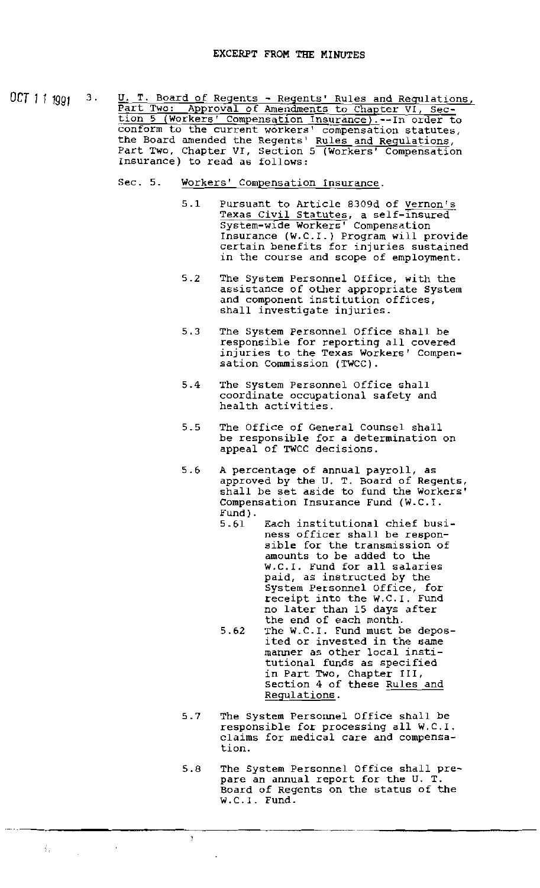OCT 11 1991 3. U. T. Board of Regents - Regents' Rules and Regulations, Part Two: Approval of Amendments to Chapter VI, Section 5 (Workers' Compensation Insurance).--In order to conform to the current workers' compensation statutes, the Board amended the Regents' Rules and Regulations, Part Two, Chapter VI, Section 5 (Workers' Compensation Insurance) to read as follows:

- Sec. 5. Workers' Compensation Insurance.
	- 5.1 Pursuant to Article B309d of Vernon's Texas Civil Statutes, a self-insured system-wide Workers' Compensation Insurance (w.e.I.) Program will provide certain benefits for injuries sustained in the course and scope of employment.
	- 5.2 The System Personnel Office, with the assistance of other appropriate System and component institution offices, shall investigate injuries.
	- 5.3 The System Personnel Office shall be responsible for reporting all covered injuries to the Texas Workers' Compensation Commission (TWCC).
	- 5.4 The system Personnel Office shall coordinate occupational safety and health activities.
	- 5.5 The Office of General Counsel shall be responsible for a determination on appeal of TWCC decisions.
	- <sup>A</sup> percentage of annual payroll, as approved by the U. T. Board of Regents, shall be set aside to fund the Workers' Compensation Insurance Fund (W.C.I. Fund) . 5.6
		- Each institutional chief business officer shall be responsible for the transmission of amounts to be added to the W.C.I. Fund for all salaries paid, as instructed by the System Personnel Office, for receipt into the W.C.I. Fund no later than 15 days after the end of each month. 5.61
		- The W.C.I. Fund must be deposited or invested in the same manner as other local institutional funds as specified in Part Two, Chapter III, section 4 of these Rules and Regulations. 5.62
	- 5.7 The System Personnel Office shall be responsible for processing all W.C.I. claims for medical care and compensation.
	- 5.8 The System Personnel Office shall prepare an annual report for the U. T. Board of Regents on the status of the W.C.I. Fund.

 $\frac{1}{2}\frac{1}{4}$ 

-\_.~------------\_..\_.-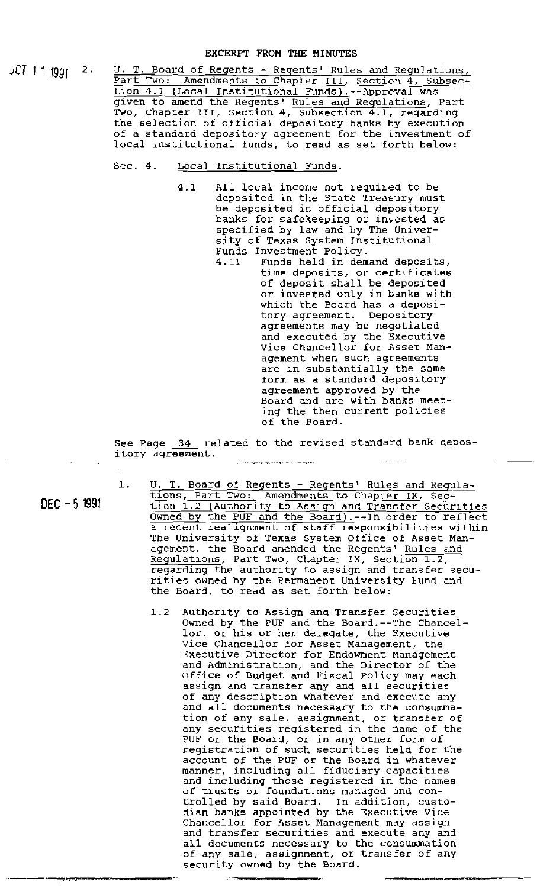*JCT* J 1 <sup>1991</sup> 2.

U. T. Board of Regents - Regents' Rules and Regulations,<br>Part Two: Amendments to Chapter III, Section 4, Subsection 4.1 (Local Institutional Funds).--Approval was given to amend the Regents' Rules and Regulations, Part Two, Chapter III, Section 4, Subsection 4.1, regarding the selection of official depository banks by execution of a standard depository agreement for the investment of local institutional funds, to read as set forth below:

## Sec. 4. Local Institutional Funds.

- 4.1 All local income not required to be deposited in the State Treasury must be deposited in official depository banks for safekeeping or invested as specified by law and by The University of Texas System Institutional Funds Investment Policy.
	- Funds held in demand deposits, time deposits, or certificates of deposit shall be deposited or invested only in banks with which the Board has a depository agreement. Depository agreements may be negotiated and executed by the Executive Vice Chancellor for Asset Management when such agreements are in substantially the same form as a standard depository agreement approved by the Board and are with banks meeting the then current policies of the Board.

See Page 34 related to the revised standard bank depository agreement. and a second complete service

DEC - 5 <sup>1991</sup>

- 1. U. T. Board of Regents Regents' Rules and Regulations, Part Two: Amendments to Chapter IX, Section 1.2 (Authority to Assign and Transfer Securities Owned by the PUF and the Board).--In order to reflect a recent realignment of staff responsibilities within The University of Texas System Office of Asset Management, the Board amended the Regents' Rules and Regulations, Part Two, Chapter IX, Section 1.2, regarding the authority to assign and transfer securities owned by the Permanent University Fund and the Board, to read as set forth below:
	- 1.2 Authority to Assign and Transfer securities Owned by the PUF and the Board.--The Chancellor, or his or her delegate, the Executive Vice Chancellor for Asset Management, the Executive Director for Endowment Management and Administration, and the Director of the office of Budget and Fiscal policy may each Silice of Budget and fiscal forty may ead of any description whatever and execute any and all documents necessary to the consummation of any sale, assignment, or transfer of any securities registered in the name of the PUF or the Board, or in any other form of registration of such securities held for the account of the PUF or the Board in whatever manner, including all fiduciary capacities and including those registered in the names of trusts or foundations managed and controlled by said Board. In addition, custodian banks appointed by the Executive Vice Chancellor for Asset Management may assign and transfer securities and execute any and all documents necessary to the consummation of any sale, assignment, or transfer of any security owned by the Board.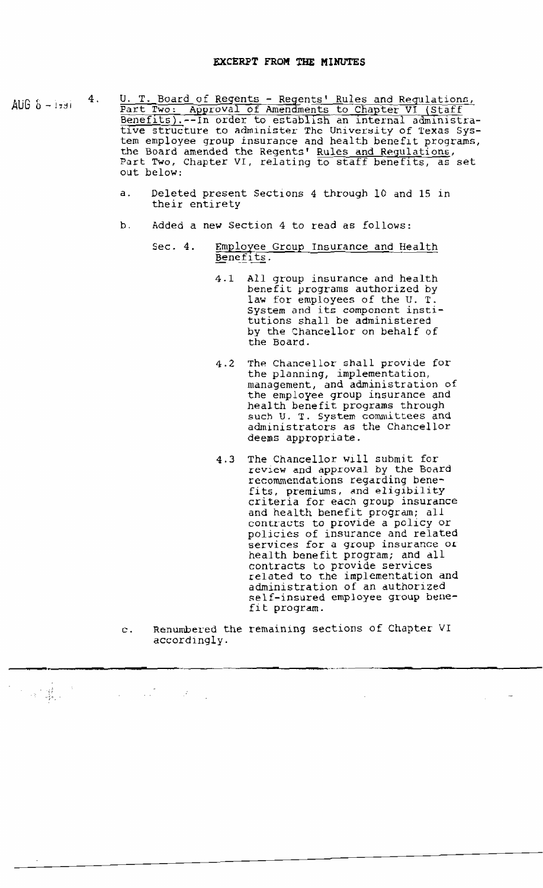- AUG  $\delta$  1791  $\frac{4}{1}$ . U. T. Board of Regents - Regents' Rules and Regulationz, Part Two: Approval of Amendments to Chapter VI (Staff Benefits).--In order to establish an internal administrative structure to administer The University of Texas System employee group insurance and health beneflt programs, the Board amended the Regents' Rules and Regulations, Part Two, Chapter VI, relating to staff benefits, as set out below:
	- a. Deleted present Sections 4 through 10 and 15 in their entirety
	- b. Added a new Section <sup>4</sup> to read as follows:
		- Sec. 4. Employee Group Insurance and Health Benefits.
			- 4.1 All group insurance and health benefit programs authorized by law for employees of the U. T. System and its component institutions shall be administered by the Chancellor on behalf of the Board.
			- 4.2 The Chancellor shall provide for the planning, implementation, management, and administration of the employee group insurance and health benefit programs through such U. T. System committees and administrators as the Chancellor deems appropriate.
			- 4.3 The Chancellor will submit for review and approval by the Board recommendations regarding benefits, premiums, and eligibility criteria for each group insurance and health benefit program; all contracts to provide a policy or policies of insurance and related services for a group insurance *OL* health benefit program; and dll contracts to provide services related to the implementation and administration of an duthorized self-insured employee group benefit program.
	- c. Renumbered the remaining sections of Chapter VI accordlngly.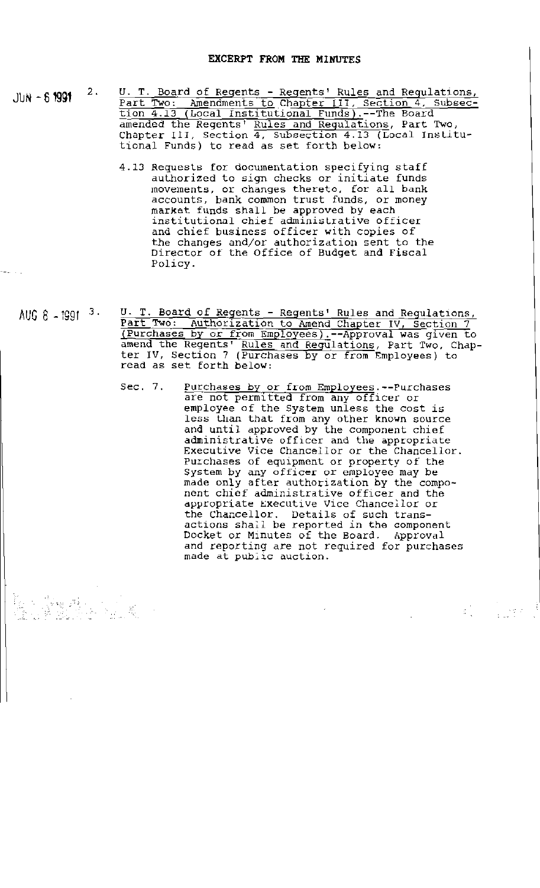JUN -  $61991$   $2.$ 

k fran

- U. T. Board of Regents Regents' Rules and Regulations, Part Two: Amendments to Chapter III, Section 4, Subsection 4.13 (Local Institutional Funds).--The Board amended the Regents' Rules and Regulations, Part Two, depends one Regenes Ruits and Regulations, Tare 140, tional Funds) to read as set forth below:
	- 4.13 Requests for documentation specifying staff authorized to sign checks or initiate funds movements, or changes thereto, for all bank accounts, bank cornmon trust funds, or money market funds shall be approved by each institutional chief administrative officer and chief business officer with copies of the changes and/or authorization sent to the Director of the Office of Budget and Fiscal *Policy.*
- AUG 8 1991 <sup>3.</sup> U. T. Board of Regents Regents' Rules and Regulations, Part Two: Authorization to Amend Chapter IV, Section 7 (Purchases by or from Employees).--Approval was given to amend the Regents' Rules and Regulations, Part Two, Chapter IV, Section 7 (Purchases by or from Employees) to read as set forth below:
	- Sec. 7. Purchases by or from Employees.--Purchases are not permitted from any officer or employee of the System unless the cost is empergies of the typical directs the cost in and until approved by the component chief administrative officer and the appropriate Executive Vice Chancellor or the Chancellor. Purchases of equipment or property of the System by any officer or employee may be made only after authorization by the component chief administrative officer and the appropriate Executive Vice Chancellor or the Chancellor. Details of such transactions shall be reported *in* the component Docket or Minutes of the Board. Approval and reporting are not required for purchases made at public auction.

**第二章 第二章**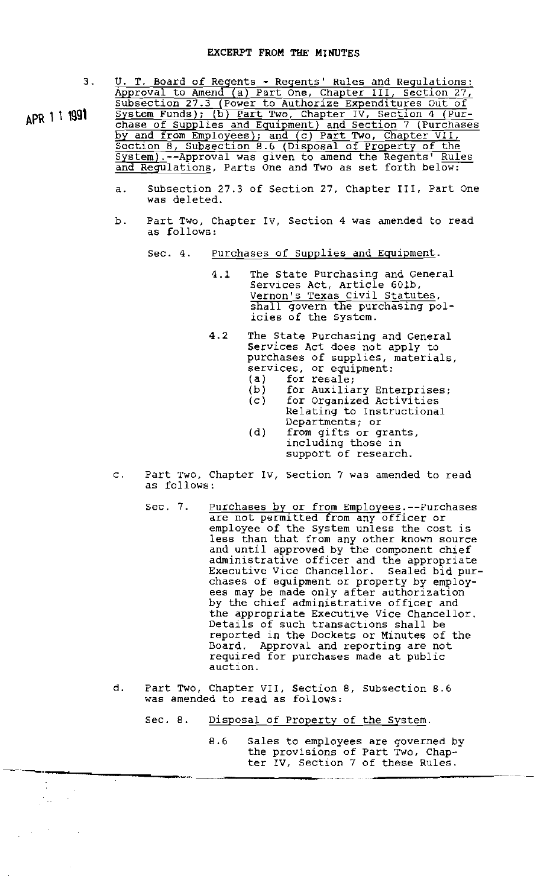3 .

APR 1 1 1991

 $\epsilon_{\rm{obs}}$ 

U. T. Board of Regents - Regents' Rules and Regulations: Approval to Amend (a) Part One, Chapter Ill, section 27, Subsection 27.3 (Power to Authorize Expenditures Out of System Funds); (b) Part Two, Chapter IV, Section 4 (Purchase of Supplies and Equipment) and Section 7 (Purchases by and from Employees); and (c) Part Two, Chapter VII, Section 8, Subsection 8.6 (Dlsposal of Property of the System).--Approval was given to amend the Regents' Rules and Regulations, Parts One and Two as set forth below:

- a. Subsection 27.3 of Section 27, Chapter Ill, Part One was deleted.
- b. Part Two, Chapter IV, Section 4 was amended to read as follows:
	- Sec. 4. Purchases of Supplies and Equipment.
		- 4.1 The state Purchasing and General Services Act, Article 601b, Vernon's Texas civil Statutes, shall govern the purchasing policies of the system.
		- 4.2 The state Purchasing and General Services Act does not apply to purchases of supplies, materials, services, or equipment:  $(a)$  for resale;
			- (b) for Auxiliary Enterprises;
			- (c) for Organized Activities
				- Relating to Instructional Departments; or
			- (d) from gifts or grants, including those in support of research.
- c. Part TwO, Chapter IV, section 7 was amended to read as follows:
	- Sec. 7. purchases by or from Employees.--Purchases are not permitted from any officer or employee of the System unless the cost is less than that from any other known source and until approved by the component chief administrative officer and the appropriate Executive Vice Chancellor. Sealed bid purchases of equipment or property by employees may be made only after authorization by the chief administrative officer and the appropriate Executive Vice Chancellor. Details of such transactions shall be reported in the Dockets or Minutes of the Board. Approval and reporting are not required for purchases made at public auction.
- d. Part TWO, Chapter VII, Section B, Subsection B.6 was amended to read as follows:
	- Sec. 8. Disposal of Property of the System.
- B.6 Sales to employees are governed by the provisions of Part Two, Chapter IV, Section 7 of these Rules. 8.6 Sales to employe<br>the provisions of<br>ter IV, Section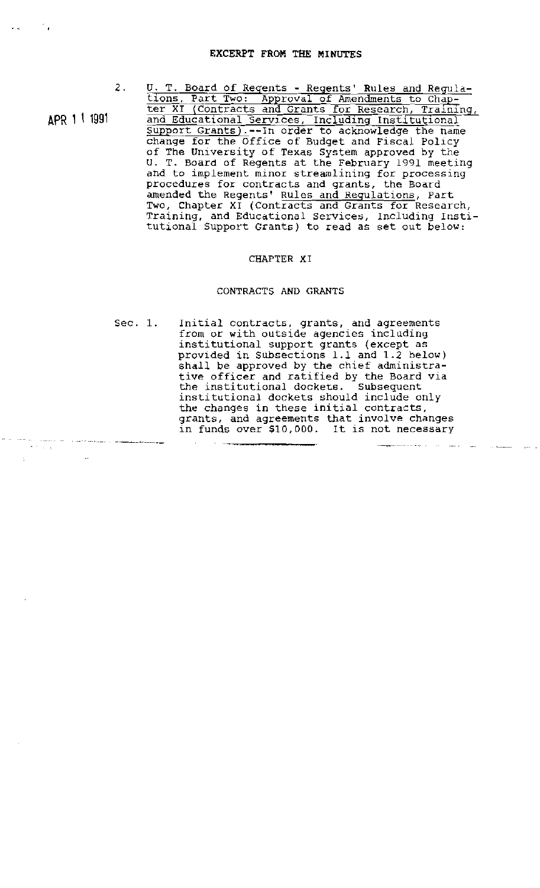2.

APR 1\ <sup>1991</sup>

 $\sigma$  . The spectrum is a subsequently decomposed by the spectrum of the spectrum of  $\sigma$ 

÷.,

U. T. Board of Regents - Regents' Rules and Regulations, Part Two: Approval of Amendments to Chapter XI (Contracts and Grants for Research, Training, and Educational Services, Including Institutional support Grants).--In order to acknowledge the name change for the Office of Budget and Fiscal Policy of The University of Texas System approved by the U. T. Board of Regents at the February 1991 meeting and to implement minor streamlining for processing procedures for contracts and grants, the Board amended the Regents' Rules and Regulations, Part Two, Chapter XI (Contracts and Grants for Research, INC, Enapter AT (Concructs and Cranes for Research, tutional Support Grants) to read as set out below:

### CHAPTER XI

### CONTRACTS AND GRANTS

Sec. 1. Initial contracts, grants, and agreements from or with outside agencies including institutional support grants (except as provided in Subsections 1.1 and 1.2 below) shall be approved by the chief administrative officer and ratified by the Board via the institutional dockets. Subsequent institutional dockets should include only the changes in these initial contracts, grants, and agreements that involve changes in funds over \$10,000. It is not necessary

المرادي والمحاجة فللقصص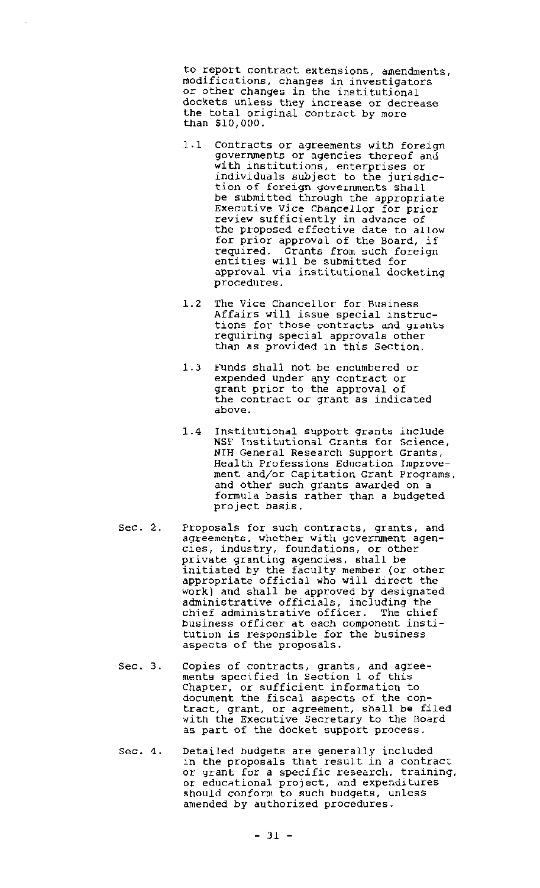to report contract extensions, amendments, modifications, changes in investigators or other changes in the institutional dockets unless they increase or decrease the total original contract by more than *\$10/000.*

- 1.1 Contracts or agreements with foreign governments or agencies thereof and with institutions, enterprises or individuals subject to the jurisdiction of foreign governments shall be submitted through the appropriate Executive Vice Chancellor for prior review sufficiently in advance of the proposed effective date to allow for prior approval of the Board, if required. Grants from such foreign entities will be submitted for approval via institutional docketing procedures.
- 1.2 The Vice Chancellor for Business Affairs will issue special instructions for those contracts and grants requiring special approvals other than as provided in this section.
- 1.3 Funds shall not be encumbered or expended under any contract or grant prior to the approval of the contract or grant as indicated above.
- 1.4 Institutional support grants include NSF Institutional Grants for Science, NIH General Research Support Grants, Health Professions Education Improvement and/or Capitation Grant Programs, and other such grants awarded on a formula basis rather than a budgeted project basis.
- Sec. 2. Proposals for such contracts, grants, and agreements, whether with government agencies, industry, foundations, or other private granting agencies. shall be initiated by the faculty member (or other appropriate official who will direct the work) and shall be approved by designated administrative officials, including the chief administrative officer. The chief business officer at each component institution is responsible for the business aspects of the proposals.
- Sec. 3. copies of contracts, grants, and agreesopies of concruser, grands, and agreements specified in Section 1 of this Chapter, or sufficient information to document the fiscal aspects of the contract, grant, or agreement, shall be filed with the Executive Secretary to the Board as part of the docket support process.
- Sec. 4. Detailed budgets are generally included in the proposals that result in a contract or grant for a specific research, training, or grant for a specific research, crafting should conform to such budgets, unless amended by authorized procedures.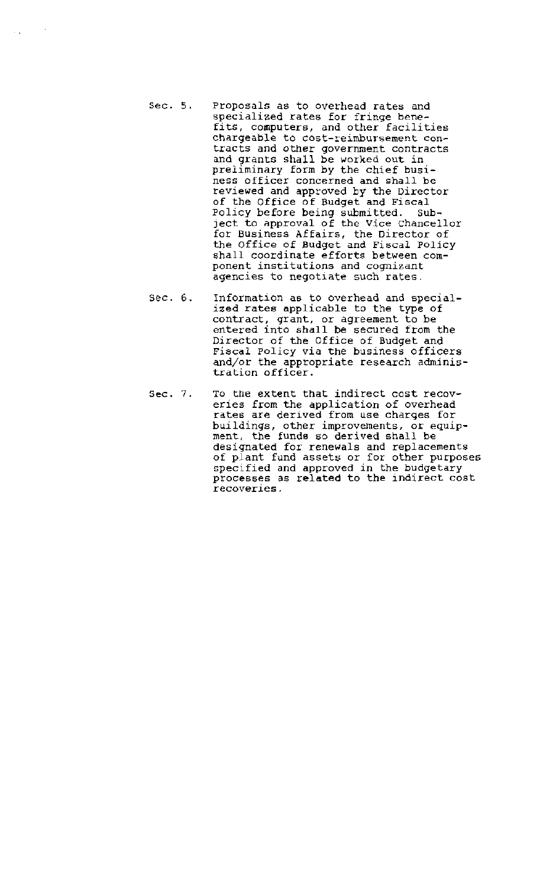Sec. 5. proposals as to overhead rates and specialized rates for fringe benefits, computers, and other facilities chargeable to cost-reimbursement contracts and other government contracts and grants shall be worked out in preliminary form by the chief business officer concerned and shall be reviewed and approved by the Director of the Office of Budget and Fiscal Policy before being submitted. Subject to approval of the Vice Chancellor for Business Affairs, the Director of the Office of Budget and Fiscal policy shall coordinate efforts between component institutions and cognizant agencies to negotiate such rates.

 $\mathcal{L}_{\text{max}}$ 

- Sec. 6. Information as to overhead and specialized rates applicable to the type of contract, grant, or agreement to be entered into shall be secured from the Director of the Office of Budget and Fiscal policy via the business officers and/or the appropriate research administration officer.
- Sec. 7. To the extent that indirect cost recoveries from the application of overhead rates are derived from use charges for buildings, other improvements, or equipment, the funds so derived shall be designated for renewals and replacements of plant fund assets or for other purposes specified and approved in the budgetary processes as related to the indirect cost recoveries.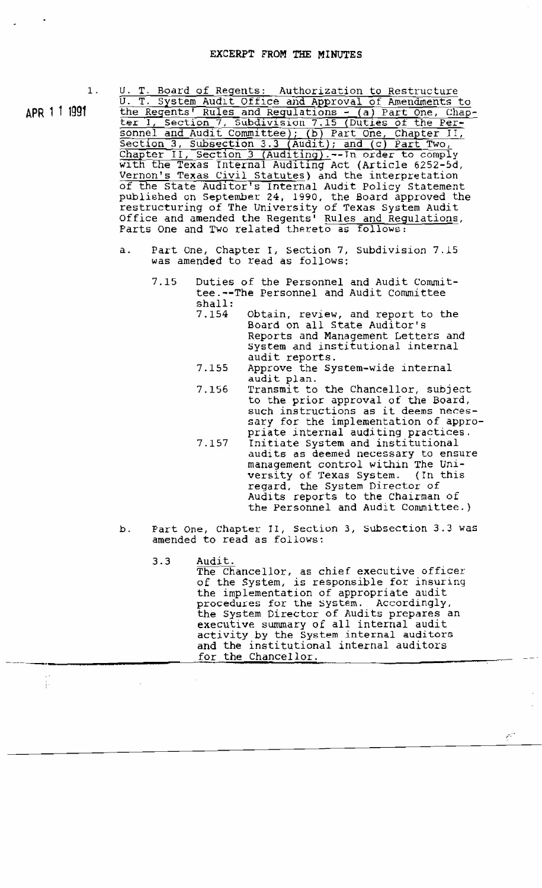$1.$ 

APR 1 1 199t

 $\frac{1}{4}$ 

U. T. Board of Regents: Authorization to Restructure U. T. System Audit Office and Approval of Amendments to the Regents' Rules and Regulations - (a) Part One, Chapter I, Section 7, Subdivision 7.15 (Duties of the Per-

sonnel and Audit Committee); (b) Part one, Chapter II, Section 3, Subsection 3.3 (Audit); and (c) Part Two, Chapter II, Section 3 (Auditing).--In order to comply with the Texas Internal Auditing Act (Article 6252-5d, Wernon's Texas Civil Statutes) and the interpretation of the State Auditor's Internal Audit Policy Statement pUblished on september 24, 1990, the Board approved the restructuring of The University of Texas System Audit Office and amended the Regents' Rules and Regulations, Parts One and Two related thereto as follows:

- a. Part One, Chapter I, section 7, subdivision 7.15 was amended to read as follows:
	- Duties of the Personnel and Audit Committee.--The Personnel and Audit Committee shall: 7.15
		- Obtain, review, and report to the Board on all State Auditor's Reports and Management Letters and system and institutional internal audit reports. 7.154
		- Approve the system-wide internal audit plan. 7.155
		- Transmit to the Chancellor, subject to the prior approval of the Board, such instructions as it deems necessary for the implementation of appropriate internal auditing practices. 7.156
		- Initiate System and institutional audits as deemed necessary to ensure management control within The Uniwersity of Texas System. (In this regard. the System Director of Audits reports to the Chairman of the Personnel and Audit Committee.) 7.157
- b. Part One, Chapter II, Section 3, Subsection 3.3 was amended to read as follows:
	- 3.3 Audit. The Chancellor, as chief executive officer of the System, is responsible for insuring the implementation of appropriate audit procedures for the System. Accordingly, the system Director of Audits prepares an executive summary of all internal audit activity by the System internal auditors and the institutional internal auditors for the Chancellor.

 $e^{\sqrt{2}t}$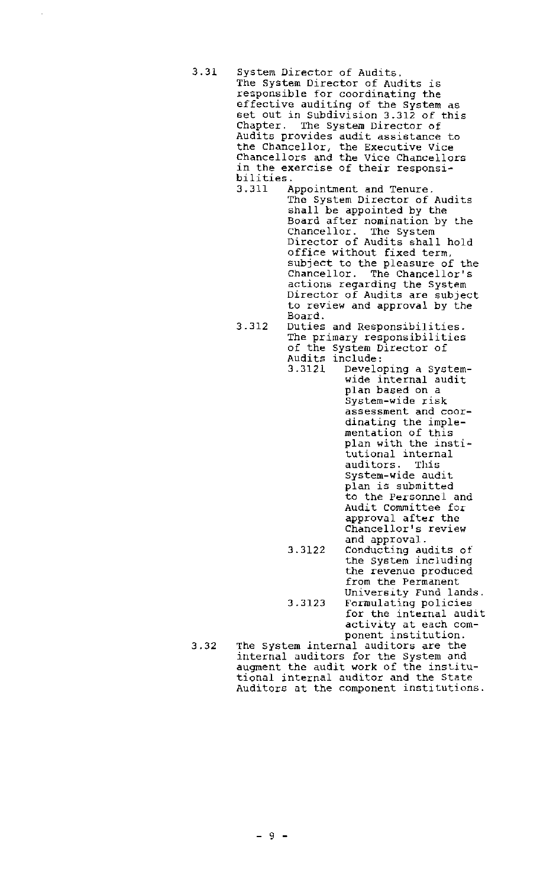- 3.31 System Director of Audits. The System Director of Audits is responsible for coordinating the effective auditing of the System as set out in Subdivision 3.312 of this Chapter. The System Director of Audits provides audit assistance to the Chancellor, the Executive Vice Chancellors and the Vice Chancellors in the exercise of their responsi-<br>bilities.<br>3.311 Appointment and Tenure.
	- Appointment and Tenure. The System Director of Audits shall be appointed by the Board after nomination by lhe Chancellor. The System Director of Audits shall hold office without fixed term, subject to the pleasure of the Chancellor. The Chancellor's actions regarding the System Director of Audits are subject to review and approval by the Board.
	- 3.312 Duties and Responsibilities. The primary responsibilities of the System Director of Audits include:<br>3.3121 Develo
		- Developing a Systemwide internal audit plan based on a System-wide risk assessment and coordinating the implementation of this plan with the institutional internal<br>auditors. This auditors. System-wide audit plan is submitted to the Personnel and Audit committee for approval after the Chancellor's review and approval. 3.3122 Conducting audits of the System including the revenue produced from the Permanent University Fund lands. 3.3123 Formulating policies for the internal audit

activity at each com-

3.32 ponent institution. The System internal auditors are the internal auditors for the System and augment the audit work of the institutional internal auditor and the State Auditors at the component institutions.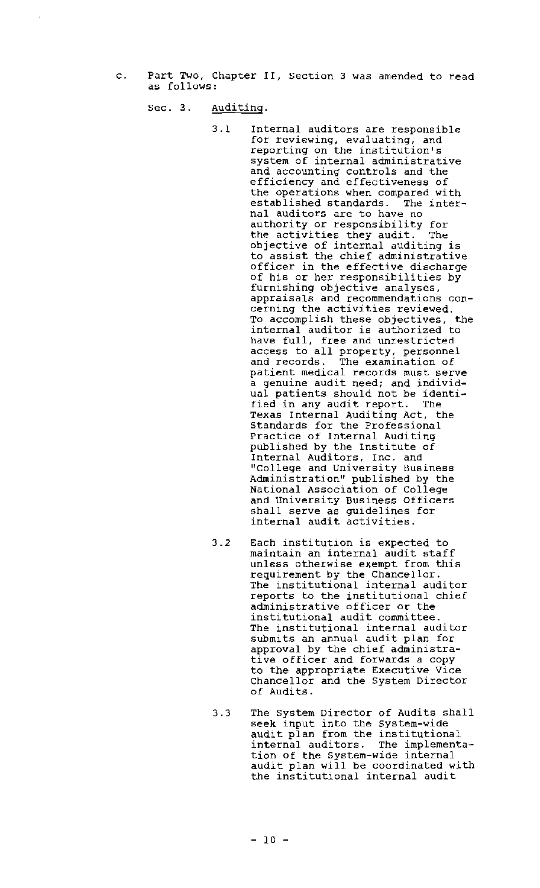c. Part Two, Chapter II, Section <sup>3</sup> was amended to read as follows:

Sec. 3. Auditing.

- 3.1 Internal auditors are responsible for reviewing, evaluating, and reporting on the institution's system of internal administrative and accounting controls and the efficiency and effectiveness of the operations when compared with established standards. The internal auditors are to have no authority or responsibility for the activities they audit. The objective of internal auditing is to assist the chief administrative officer in the effective discharge of his or her responsibilities by furnishing objective analyses, appraisals and recommendations concerning the activities reviewed. To accomplish these objectives, the internal auditor is authorized to have full, free and unrestricted access to all property, personnel and records. The examination of patient medical records must serve a genuine audit need; and individual patients should not be identi-<br>fied in any audit report. The fied in any audit report. Texas Internal Auditing Act, the Standards for the Professional Practice of Internal Auditing published by the Institute of Internal Auditors, Inc. and "College and University Business Administration" published by the National Association of College and university Business Officers shall serve as guidelines for internal audit activities.
- 3.2 Each institution is expected to maintain an internal audit staff unless otherwise exempt from this requirement by the Chancellor. The institutional internal auditor reports to the institutional chief administrative officer or the institutional audit committee. The institutional internal auditor submits an annual audit plan for approval by the chief administrative officer and forwards <sup>a</sup> copy to the appropriate Executive Vice Chancellor and the System Director of Audits.
- 3.3 The System Director of Audits shall seek input into the system-wide audit plan from the institutional internal auditors. The implementation of the System-wide internal audit plan will be coordinated with the institutional internal audit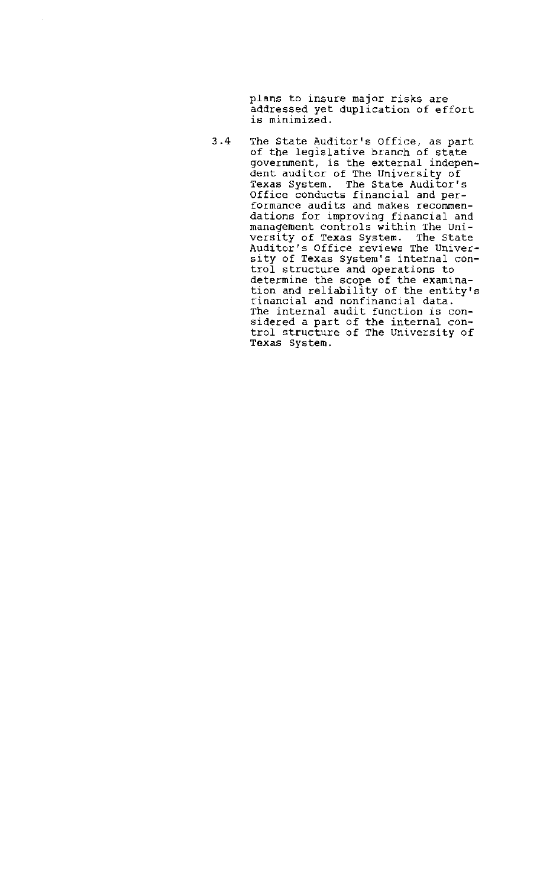plans to insure major risks are addressed yet duplication of effort is minimized.

 $\overline{\phantom{a}}$ 

3.4 The State AUditor's Office, as part of the legislative branch of state government, is the external independent auditor of The University of Texas System. The State Auditor's Office conducts financial and performance audits and makes recommendations for improving financial and management controls within The University of Texas System. The state Auditor's Office reviews The University of Texas System's internal control structure and operations to determine the scope of the examination and reliability of the entity's financial and nonfinancial data. The internal audit function is considered a part of the internal control structure of The University of Texas System.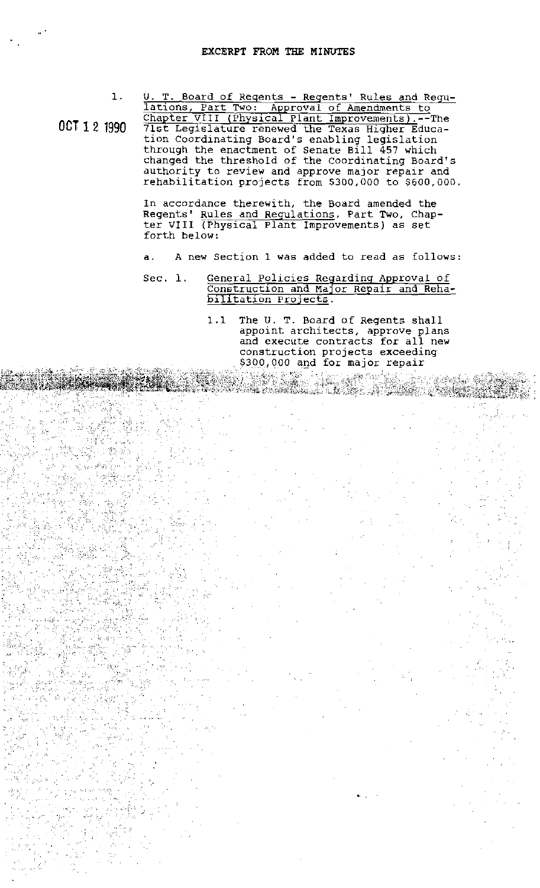$\mathbf{1}$ .

OCT 1 2 1990 U. T. Board of Regents - Reqents' Rules and Regulations, Part Two: Approval of Amendments to Chapter VIII (Physical Plant Improvements).--The 71st Legislature renewed the Texas Higher Education Coordinating Board's enabling legislation through the enactment of Senate Bill 457 which changed the threshold of the Coordinating Board's authority to review and approve major repair and rehabilitation projects from \$300,000 to \$600,000.

> In accordance therewith, the Board amended the Regents' Rules and Regulations, Part Two, Chapter VIII (Physical Plant Improvements) as set forth below:

- d. A new Section 1 was added to read as follows:
- Sec. 1. General Policies Regarding Approval of Construction and MaJor Repair and Rehabilitation projects.
	- 1.1 The U. T. Board of Regents shall appoint architects, approve plans and execute contracts for all new construction projects exceeding \$300,000 and for major repair

rt Glean S

•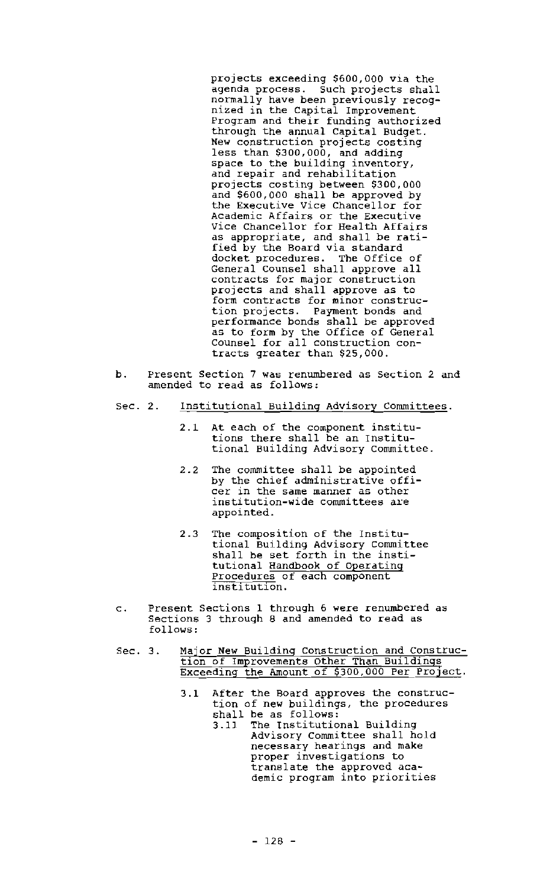projects exceeding \$600,000 via the agenda process. such projects shall normally have been previously recognized in the Capital Improvement Program and their funding authorized through the annual Capital Budget. New construction projects costing less than \$300,000, and adding space to the building inventory, and repair and rehabilitation projects costing between \$300,000 and \$600,000 shall be approved by the Executive Vice Chancellor for Academic Affairs or the Executive Vice Chancellor for Health Affairs as appropriate, and shall be ratified by the Board via standard docket procedures. The Office of General Counsel shall approve all contracts for major construction projects and shall approve as to form contracts for minor construction projects. Payment bonds and performance bonds shall be approved as to form by the Office of General Counsel for all construction contracts greater than \$25 ,000.

- b. Present Section 7 was renumbered as Section 2 and amended to read as follows:
- Sec. 2. Institutional Building Advisory Committees.
	- 2.1 At each of the component institutions there shall be an Institutional Building Advisory Committee.
	- 2.2 The committee shall be appointed by the chief administrative officer in the same manner as other institution-wide committees are appointed.
	- 2.3 The composition of the Institutional Building Advisory committee shall be set forth in the institutional Handbook of Operating Procedures of each component institution.
- c. Present Sections 1 through 6 were renumbered as Sections 3 through 8 and amended to read as follows:
- Sec. 3. Major New Building Construction and Construction of Improvements Other Than Buildings Exceeding the Amount of 300,000 Per ProJect.
	- 3.1 After the Board approves the construction of new buildings, the procedures shall be as follows:<br>3.11 The Institutio
		- The Institutional Building Advisory Committee shall hold necessary hearings and make proper investigations to translate the approved academic program into priorities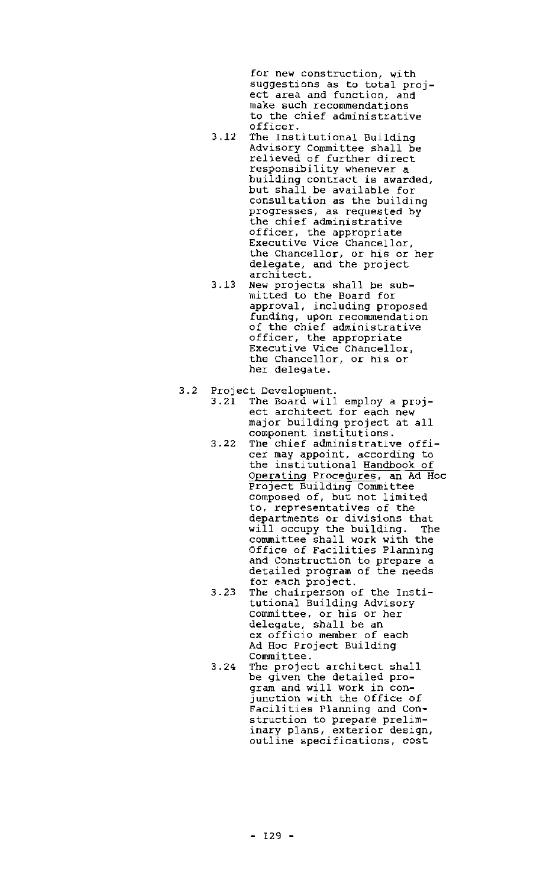for new construction, with suggestions as to total project area and function, and make such recommendations to the chief administrative officer.

- 3.12 The Institutional Building Advisory Committee shall be relieved of further direct responsibility whenever a building contract is awarded, but shall be available for consultation as the building progresses, as requested by the chief administrative officer, the appropriate Executive Vice Chancellor, the Chancellor, or his or her delegate, and the project architect.
- 3.13 New projects shall be submitted to the Board for approval, including proposed funding, upon recommendation of the chief administrative officer, the appropriate Executive Vice Chancellor, the Chancellor, or his or her delegate.
- 3.2 Project Development.
	- The Board will employ a project architect for each new major building project at all major surrarng project
	- 3.22 The chief administrative officer may appoint, according to the institutional Handbook of operating Procedures, an Ad Hoc project Building Committee composed of, but not limited to, representatives of the departments or divisions that will occupy the building. The committee shall work with the Office of Facilities Planning and Construction to prepare a detailed program of the needs for each project.
	- 3.23 The chairperson of the Institutional Building Advisory committee, or his or her delegate, shall be an ex officio member of each Ad Hoc Project Building Committee.
	- 3.24 The project architect shall be given the detailed program and will work in conjunction with the Office of Facilities Planning and Construction to prepare preliminary plans, exterior design, outline specifications, cost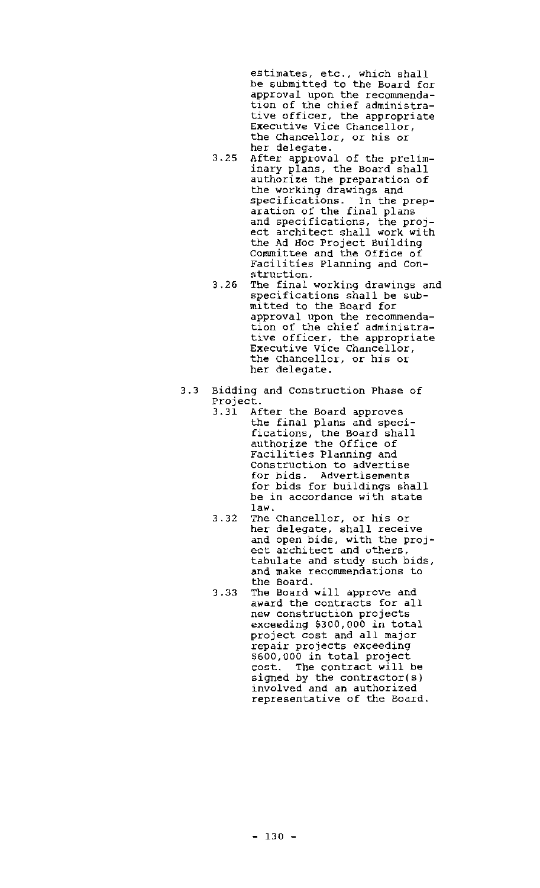estimates, etc., which shall be submitted to the Board for approval upon the recommendation of the chief administrative officer, the appropriate Executive Vice Chancellor, the Chancellor, or his or her delegate.

- 3.25 After approval of the preliminary plans, the Board shall authorize the preparation of the working drawings and specifications. In the preparation of the final plans and specifications, the project architect shall work with the Ad Hoc Project Building Committee and the Office of Facilities Planning and Construction.
- 3.26 The final working drawings and specifications shall be submitted to the Board for approval upon the recommendation of the chief administrative officer, the appropriate Executive Vice Chancellor, the Chancellor, or his or her delegate.
- 3.3 Bidding and construction Phase of Project.<br>3.31 Af
	- After the Board approves the final plans and specifications, the Board shall authorize the Office of Facilities Planning and construction to advertise for bids. Advertisements for bids for buildings shall be in accordance with state law.
	- 3.32 The Chancellor, or his or her delegate, shall receive and open bids, with the project architect and others, tabulate and study such bids, and make recommendations to the Board.
	- 3.33 The Board will approve and award the contracts for all new construction projects exceeding \$300,000 in total project cost and all major repair projects exceeding \$600,000 in total project cost. The contract will be signed by the contractor(s) involved and an authorized representative of the Board.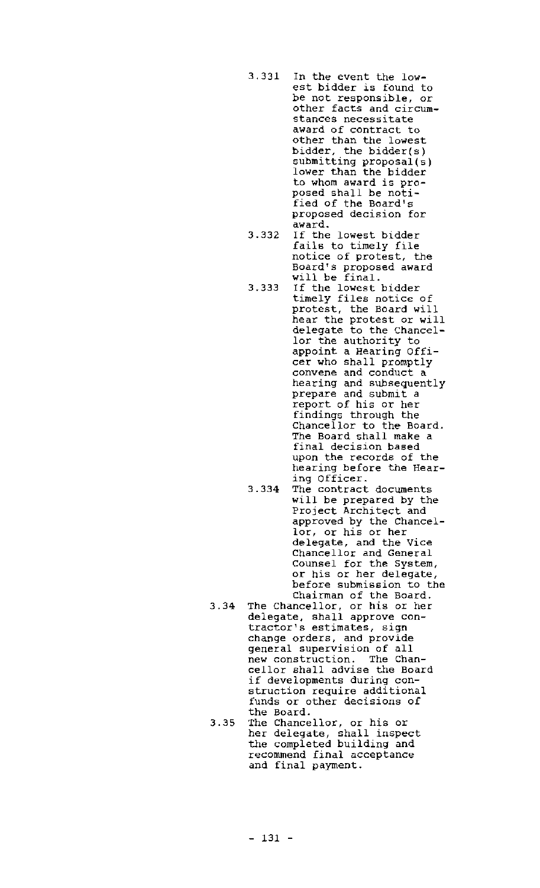- 3.331 In the event the low~ est bidder is found to be not responsible, or other facts and circumstances necessitate award of contract to other than the lowest bidder, the bidder(s) submitting proposal(s) lower than the bidder to whom award is proposed shall be notified of the Board's proposed decision for award.
- 3.332 If the lowest bidder fails to timely file notice of protest, the Board's proposed award will be final.
- 3.333 If the lowest bidder timely files notice of protest, the Board will hear the protest or will delegate to the Chancellor the authority to appoint a Hearing Officer who shall promptly convene and conduct a hearing and subsequently prepare and submit a report of his or her findings through the Chancellor to the Board. The Board shall make a final decision based upon the records of the hearing before the Hearing Officer.
- 3.334 The contract documents will be prepared by the Project Architect and approved by the Chancellor, or his or her delegate, and the vice Chancellor and General Counsel for the System, or his or her delegate, before submission to the Chairman of the Board.
- 3.34 The Chancellor, or his or her delegate, shall approve contractor's estimates, sign change orders, and provide general supervision of all new construction. The Chancellor shall advise the Board if developments during construction require additional funds or other decisions of the Board.
- 3.35 The Chancellor, or his or her delegate, shall inspect the completed building and recommend final acceptance and final payment.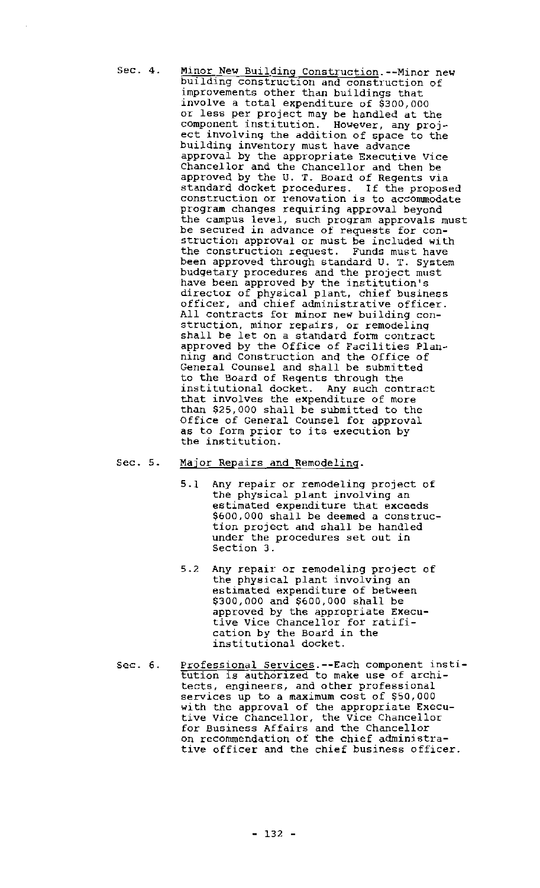- Sec. 4. Minor New Building Construction.--Minor new building construction and construction of improvements other than buildings that involve <sup>a</sup> total expenditure of \$300,000 or less per project may be handled at the component institution. However, any project involving the addition of space to the building inventory must have advance approval by the appropriate Executive Vice Chancellor and the Chancellor and then be approved by the U. T. Board of Regents via standard docket procedures. If the proposed construction or renovation is to accommodate program changes requiring approval beyond the campus level, such program approvals must be secured in advance of requests for construction approval or must be included with the construction request. Funds must have been approved through standard U. T. System budgetary procedures and the project must have been approved by the institution's director of physical plant, chief business officer, and chief administrative officer. All contracts for minor new building construction, minor repairs, or remodeling shall be let on <sup>a</sup> standard form contract approved by the Office of Facilities Planning and construction and the Office of General Counsel and shall be submitted to the Board of Regents through the institutional docket. Any such contract that involves the expenditure of more than \$25,000 shall be submitted to the Office of General Counsel for approval as to form prior to its execution by the institution.
- Sec. 5. Major Repairs and Remodeling.
	- 5.1 Any repair or remodeling project of the physical plant involVing an estimated expenditure that exceeds \$600,000 shall be deemed <sup>a</sup> construction project and shall be handled under the procedures set out in Section 3.
	- 5.2 Any repair or remodeling project of the physical plant involving an estimated expenditure of between \$300,000 and \$600,000 shall be approved by the appropriate Executive Vice Chancellor for ratification by the Board in the institutional docket.
- Sec. 6. Professional Services.--Each component institution is authorlzed to make use of architects, engineers, and other professional services up to <sup>a</sup> maximum cost of \$50,000 with the approval of the appropriate Executive Vice Chancellor, the Vice Chancellor for Business Affairs and the Chancellor on recommendation of the chief administrative officer and the chief business officer.